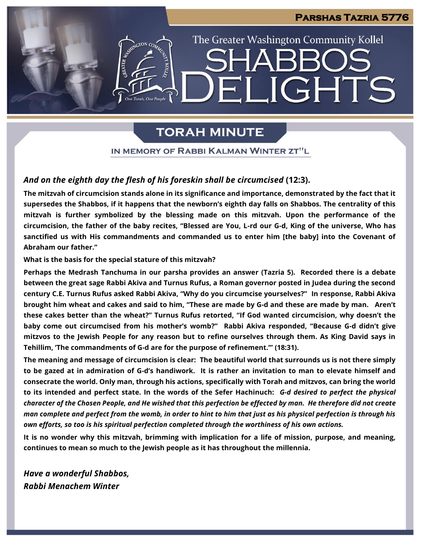## **Parshas Tazria 5776**

# The Greater Washington Community Kollel LIGHTS EI

## **TORAH MINUTE**

IN MEMORY OF RABBI KALMAN WINTER ZT"L

## *And on the eighth day the flesh of his foreskin shall be circumcised* **(12:3).**

**The mitzvah of circumcision stands alone in its significance and importance, demonstrated by the fact that it supersedes the Shabbos, if it happens that the newborn's eighth day falls on Shabbos. The centrality of this mitzvah is further symbolized by the blessing made on this mitzvah. Upon the performance of the circumcision, the father of the baby recites, "Blessed are You, L-rd our G-d, King of the universe, Who has sanctified us with His commandments and commanded us to enter him [the baby] into the Covenant of Abraham our father."**

**What is the basis for the special stature of this mitzvah?**

**Perhaps the Medrash Tanchuma in our parsha provides an answer (Tazria 5). Recorded there is a debate between the great sage Rabbi Akiva and Turnus Rufus, a Roman governor posted in Judea during the second century C.E. Turnus Rufus asked Rabbi Akiva, "Why do you circumcise yourselves?" In response, Rabbi Akiva brought him wheat and cakes and said to him, "These are made by G-d and these are made by man. Aren't these cakes better than the wheat?" Turnus Rufus retorted, "If God wanted circumcision, why doesn't the baby come out circumcised from his mother's womb?" Rabbi Akiva responded, "Because G-d didn't give mitzvos to the Jewish People for any reason but to refine ourselves through them. As King David says in Tehillim, 'The commandments of G-d are for the purpose of refinement.'" (18:31).** 

**The meaning and message of circumcision is clear: The beautiful world that surrounds us is not there simply to be gazed at in admiration of G-d's handiwork. It is rather an invitation to man to elevate himself and consecrate the world. Only man, through his actions, specifically with Torah and mitzvos, can bring the world to its intended and perfect state. In the words of the Sefer Hachinuch:** *G-d desired to perfect the physical character of the Chosen People, and He wished that this perfection be effected by man. He therefore did not create man complete and perfect from the womb, in order to hint to him that just as his physical perfection is through his own efforts, so too is his spiritual perfection completed through the worthiness of his own actions.*

**It is no wonder why this mitzvah, brimming with implication for a life of mission, purpose, and meaning, continues to mean so much to the Jewish people as it has throughout the millennia.**

*Have a wonderful Shabbos, Rabbi Menachem Winter*